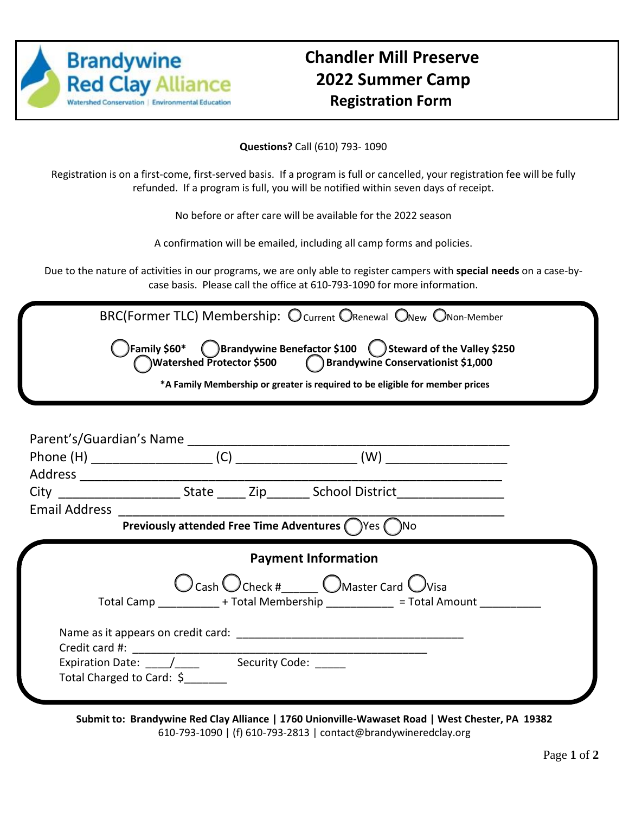

## **Chandler Mill Preserve 2022 Summer Camp Registration Form**

**Questions?** Call (610) 793- 1090

Registration is on a first-come, first-served basis. If a program is full or cancelled, your registration fee will be fully refunded. If a program is full, you will be notified within seven days of receipt.

No before or after care will be available for the 2022 season

A confirmation will be emailed, including all camp forms and policies.

Due to the nature of activities in our programs, we are only able to register campers with **special needs** on a case-bycase basis. Please call the office at 610-793-1090 for more information.

| BRC(Former TLC) Membership: O current ORenewal ONew ONon-Member<br>)Family \$60* $\qquad$ Brandywine Benefactor \$100 $\qquad$ Steward of the Valley \$250<br>Watershed Protector \$500 (Derandywine Conservationist \$1,000<br>*A Family Membership or greater is required to be eligible for member prices |  |
|--------------------------------------------------------------------------------------------------------------------------------------------------------------------------------------------------------------------------------------------------------------------------------------------------------------|--|
|                                                                                                                                                                                                                                                                                                              |  |
|                                                                                                                                                                                                                                                                                                              |  |
|                                                                                                                                                                                                                                                                                                              |  |
| Email Address 2008 2009 2009 2010 2021 2022 2023 2024 2022 2023 2024 2022 2023 2024 2022 2023 2024 2025 2026 20<br>Previously attended Free Time Adventures (Nes (No                                                                                                                                         |  |
| <b>Payment Information</b>                                                                                                                                                                                                                                                                                   |  |
| $\bigcirc$ Cash $\bigcirc$ Check # $\bigcirc$ Master Card $\bigcirc$ Visa<br>Total Camp ___________ + Total Membership ___________ = Total Amount _________                                                                                                                                                  |  |
| Expiration Date: ____/______ Security Code: _<br>Total Charged to Card: \$                                                                                                                                                                                                                                   |  |

**Submit to: Brandywine Red Clay Alliance | 1760 Unionville-Wawaset Road | West Chester, PA 19382** 610-793-1090 | (f) 610-793-2813 | contact@brandywineredclay.org